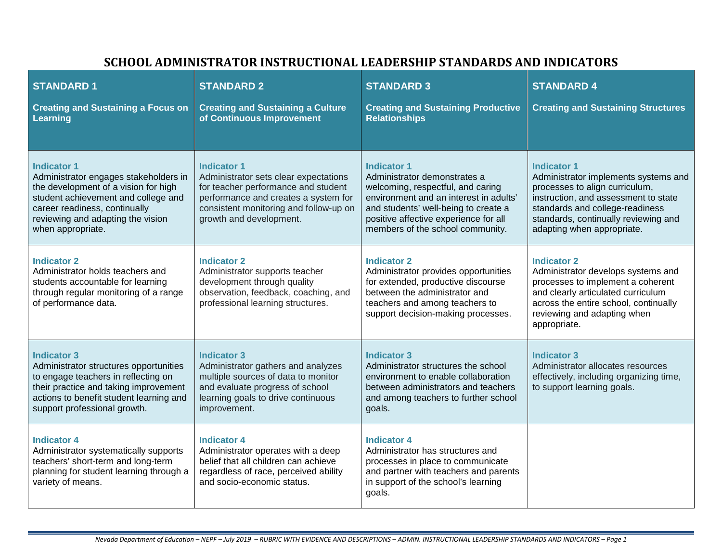| <b>STANDARD1</b><br><b>Creating and Sustaining a Focus on</b><br><b>Learning</b>                                                                                                                                                      | <b>STANDARD 2</b><br><b>Creating and Sustaining a Culture</b><br>of Continuous Improvement                                                                                                                      | <b>STANDARD 3</b><br><b>Creating and Sustaining Productive</b><br><b>Relationships</b>                                                                                                                                                                 | <b>STANDARD 4</b><br><b>Creating and Sustaining Structures</b>                                                                                                                                                                                |
|---------------------------------------------------------------------------------------------------------------------------------------------------------------------------------------------------------------------------------------|-----------------------------------------------------------------------------------------------------------------------------------------------------------------------------------------------------------------|--------------------------------------------------------------------------------------------------------------------------------------------------------------------------------------------------------------------------------------------------------|-----------------------------------------------------------------------------------------------------------------------------------------------------------------------------------------------------------------------------------------------|
| <b>Indicator 1</b><br>Administrator engages stakeholders in<br>the development of a vision for high<br>student achievement and college and<br>career readiness, continually<br>reviewing and adapting the vision<br>when appropriate. | <b>Indicator 1</b><br>Administrator sets clear expectations<br>for teacher performance and student<br>performance and creates a system for<br>consistent monitoring and follow-up on<br>growth and development. | <b>Indicator 1</b><br>Administrator demonstrates a<br>welcoming, respectful, and caring<br>environment and an interest in adults'<br>and students' well-being to create a<br>positive affective experience for all<br>members of the school community. | <b>Indicator 1</b><br>Administrator implements systems and<br>processes to align curriculum,<br>instruction, and assessment to state<br>standards and college-readiness<br>standards, continually reviewing and<br>adapting when appropriate. |
| <b>Indicator 2</b><br>Administrator holds teachers and<br>students accountable for learning<br>through regular monitoring of a range<br>of performance data.                                                                          | <b>Indicator 2</b><br>Administrator supports teacher<br>development through quality<br>observation, feedback, coaching, and<br>professional learning structures.                                                | <b>Indicator 2</b><br>Administrator provides opportunities<br>for extended, productive discourse<br>between the administrator and<br>teachers and among teachers to<br>support decision-making processes.                                              | <b>Indicator 2</b><br>Administrator develops systems and<br>processes to implement a coherent<br>and clearly articulated curriculum<br>across the entire school, continually<br>reviewing and adapting when<br>appropriate.                   |
| <b>Indicator 3</b><br>Administrator structures opportunities<br>to engage teachers in reflecting on<br>their practice and taking improvement<br>actions to benefit student learning and<br>support professional growth.               | <b>Indicator 3</b><br>Administrator gathers and analyzes<br>multiple sources of data to monitor<br>and evaluate progress of school<br>learning goals to drive continuous<br>improvement.                        | <b>Indicator 3</b><br>Administrator structures the school<br>environment to enable collaboration<br>between administrators and teachers<br>and among teachers to further school<br>goals.                                                              | <b>Indicator 3</b><br>Administrator allocates resources<br>effectively, including organizing time,<br>to support learning goals.                                                                                                              |
| <b>Indicator 4</b><br>Administrator systematically supports<br>teachers' short-term and long-term<br>planning for student learning through a<br>variety of means.                                                                     | <b>Indicator 4</b><br>Administrator operates with a deep<br>belief that all children can achieve<br>regardless of race, perceived ability<br>and socio-economic status.                                         | <b>Indicator 4</b><br>Administrator has structures and<br>processes in place to communicate<br>and partner with teachers and parents<br>in support of the school's learning<br>goals.                                                                  |                                                                                                                                                                                                                                               |

## **SCHOOL ADMINISTRATOR INSTRUCTIONAL LEADERSHIP STANDARDS AND INDICATORS**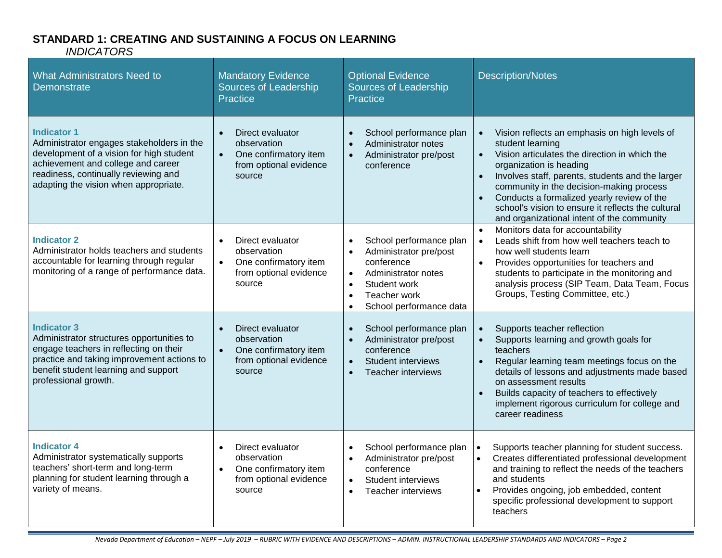# **STANDARD 1: CREATING AND SUSTAINING A FOCUS ON LEARNING**

| <b>What Administrators Need to</b><br>Demonstrate                                                                                                                                                                                  | <b>Mandatory Evidence</b><br><b>Sources of Leadership</b><br><b>Practice</b>                                           | <b>Optional Evidence</b><br>Sources of Leadership<br>Practice                                                                                                                                         | <b>Description/Notes</b>                                                                                                                                                                                                                                                                                                                                                                                                               |
|------------------------------------------------------------------------------------------------------------------------------------------------------------------------------------------------------------------------------------|------------------------------------------------------------------------------------------------------------------------|-------------------------------------------------------------------------------------------------------------------------------------------------------------------------------------------------------|----------------------------------------------------------------------------------------------------------------------------------------------------------------------------------------------------------------------------------------------------------------------------------------------------------------------------------------------------------------------------------------------------------------------------------------|
| <b>Indicator 1</b><br>Administrator engages stakeholders in the<br>development of a vision for high student<br>achievement and college and career<br>readiness, continually reviewing and<br>adapting the vision when appropriate. | Direct evaluator<br>$\bullet$<br>observation<br>One confirmatory item<br>$\bullet$<br>from optional evidence<br>source | School performance plan<br>Administrator notes<br>Administrator pre/post<br>$\bullet$<br>conference                                                                                                   | Vision reflects an emphasis on high levels of<br>student learning<br>Vision articulates the direction in which the<br>$\bullet$<br>organization is heading<br>Involves staff, parents, students and the larger<br>$\bullet$<br>community in the decision-making process<br>Conducts a formalized yearly review of the<br>$\bullet$<br>school's vision to ensure it reflects the cultural<br>and organizational intent of the community |
| <b>Indicator 2</b><br>Administrator holds teachers and students<br>accountable for learning through regular<br>monitoring of a range of performance data.                                                                          | Direct evaluator<br>observation<br>One confirmatory item<br>$\bullet$<br>from optional evidence<br>source              | School performance plan<br>Administrator pre/post<br>conference<br>Administrator notes<br>$\bullet$<br>Student work<br>$\bullet$<br>Teacher work<br>$\bullet$<br>School performance data<br>$\bullet$ | Monitors data for accountability<br>$\bullet$<br>Leads shift from how well teachers teach to<br>$\bullet$<br>how well students learn<br>Provides opportunities for teachers and<br>$\bullet$<br>students to participate in the monitoring and<br>analysis process (SIP Team, Data Team, Focus<br>Groups, Testing Committee, etc.)                                                                                                      |
| <b>Indicator 3</b><br>Administrator structures opportunities to<br>engage teachers in reflecting on their<br>practice and taking improvement actions to<br>benefit student learning and support<br>professional growth.            | Direct evaluator<br>observation<br>One confirmatory item<br>$\bullet$<br>from optional evidence<br>source              | School performance plan<br>$\bullet$<br>Administrator pre/post<br>conference<br>Student interviews<br>$\bullet$<br><b>Teacher interviews</b><br>$\bullet$                                             | Supports teacher reflection<br>Supports learning and growth goals for<br>$\bullet$<br>teachers<br>Regular learning team meetings focus on the<br>$\bullet$<br>details of lessons and adjustments made based<br>on assessment results<br>Builds capacity of teachers to effectively<br>$\bullet$<br>implement rigorous curriculum for college and<br>career readiness                                                                   |
| <b>Indicator 4</b><br>Administrator systematically supports<br>teachers' short-term and long-term<br>planning for student learning through a<br>variety of means.                                                                  | Direct evaluator<br>observation<br>One confirmatory item<br>$\bullet$<br>from optional evidence<br>source              | School performance plan<br>$\bullet$<br>Administrator pre/post<br>conference<br><b>Student interviews</b><br>$\bullet$<br>Teacher interviews<br>$\bullet$                                             | Supports teacher planning for student success.<br>$\bullet$<br>Creates differentiated professional development<br>and training to reflect the needs of the teachers<br>and students<br>Provides ongoing, job embedded, content<br>specific professional development to support<br>teachers                                                                                                                                             |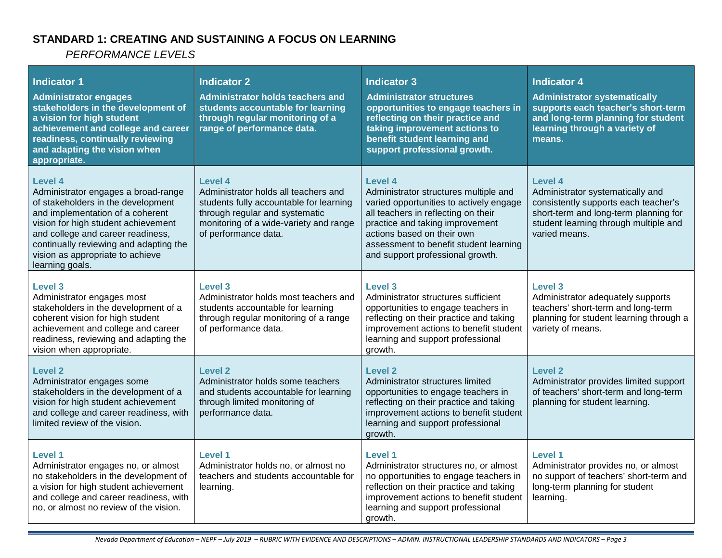## **STANDARD 1: CREATING AND SUSTAINING A FOCUS ON LEARNING**

| <b>Indicator 1</b><br><b>Administrator engages</b><br>stakeholders in the development of<br>a vision for high student<br>achievement and college and career<br>readiness, continually reviewing<br>and adapting the vision when<br>appropriate.                                                              | <b>Indicator 2</b><br><b>Administrator holds teachers and</b><br>students accountable for learning<br>through regular monitoring of a<br>range of performance data.                            | <b>Indicator 3</b><br><b>Administrator structures</b><br>opportunities to engage teachers in<br>reflecting on their practice and<br>taking improvement actions to<br>benefit student learning and<br>support professional growth.                                                 | <b>Indicator 4</b><br><b>Administrator systematically</b><br>supports each teacher's short-term<br>and long-term planning for student<br>learning through a variety of<br>means.       |
|--------------------------------------------------------------------------------------------------------------------------------------------------------------------------------------------------------------------------------------------------------------------------------------------------------------|------------------------------------------------------------------------------------------------------------------------------------------------------------------------------------------------|-----------------------------------------------------------------------------------------------------------------------------------------------------------------------------------------------------------------------------------------------------------------------------------|----------------------------------------------------------------------------------------------------------------------------------------------------------------------------------------|
| <b>Level 4</b><br>Administrator engages a broad-range<br>of stakeholders in the development<br>and implementation of a coherent<br>vision for high student achievement<br>and college and career readiness,<br>continually reviewing and adapting the<br>vision as appropriate to achieve<br>learning goals. | Level 4<br>Administrator holds all teachers and<br>students fully accountable for learning<br>through regular and systematic<br>monitoring of a wide-variety and range<br>of performance data. | Level 4<br>Administrator structures multiple and<br>varied opportunities to actively engage<br>all teachers in reflecting on their<br>practice and taking improvement<br>actions based on their own<br>assessment to benefit student learning<br>and support professional growth. | Level 4<br>Administrator systematically and<br>consistently supports each teacher's<br>short-term and long-term planning for<br>student learning through multiple and<br>varied means. |
| <b>Level 3</b><br>Administrator engages most<br>stakeholders in the development of a<br>coherent vision for high student<br>achievement and college and career<br>readiness, reviewing and adapting the<br>vision when appropriate.                                                                          | <b>Level 3</b><br>Administrator holds most teachers and<br>students accountable for learning<br>through regular monitoring of a range<br>of performance data.                                  | <b>Level 3</b><br>Administrator structures sufficient<br>opportunities to engage teachers in<br>reflecting on their practice and taking<br>improvement actions to benefit student<br>learning and support professional<br>growth.                                                 | <b>Level 3</b><br>Administrator adequately supports<br>teachers' short-term and long-term<br>planning for student learning through a<br>variety of means.                              |
| <b>Level 2</b><br>Administrator engages some<br>stakeholders in the development of a<br>vision for high student achievement<br>and college and career readiness, with<br>limited review of the vision.                                                                                                       | <b>Level 2</b><br>Administrator holds some teachers<br>and students accountable for learning<br>through limited monitoring of<br>performance data.                                             | Level 2<br>Administrator structures limited<br>opportunities to engage teachers in<br>reflecting on their practice and taking<br>improvement actions to benefit student<br>learning and support professional<br>growth.                                                           | <b>Level 2</b><br>Administrator provides limited support<br>of teachers' short-term and long-term<br>planning for student learning.                                                    |
| <b>Level 1</b><br>Administrator engages no, or almost<br>no stakeholders in the development of<br>a vision for high student achievement<br>and college and career readiness, with<br>no, or almost no review of the vision.                                                                                  | <b>Level 1</b><br>Administrator holds no, or almost no<br>teachers and students accountable for<br>learning.                                                                                   | Level 1<br>Administrator structures no, or almost<br>no opportunities to engage teachers in<br>reflection on their practice and taking<br>improvement actions to benefit student<br>learning and support professional<br>growth.                                                  | <b>Level 1</b><br>Administrator provides no, or almost<br>no support of teachers' short-term and<br>long-term planning for student<br>learning.                                        |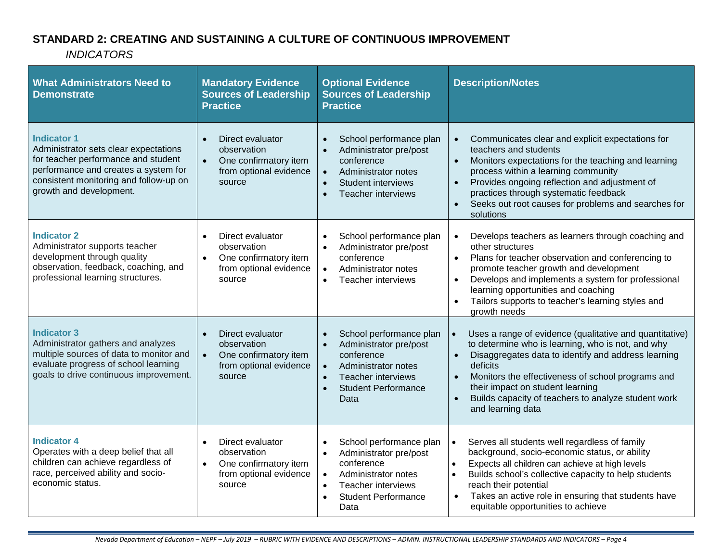## **STANDARD 2: CREATING AND SUSTAINING A CULTURE OF CONTINUOUS IMPROVEMENT**

| <b>What Administrators Need to</b><br><b>Demonstrate</b>                                                                                                                                                        | <b>Mandatory Evidence</b><br><b>Sources of Leadership</b><br><b>Practice</b>                                           | <b>Optional Evidence</b><br><b>Sources of Leadership</b><br><b>Practice</b>                                                                                                                                                | <b>Description/Notes</b>                                                                                                                                                                                                                                                                                                                                                       |
|-----------------------------------------------------------------------------------------------------------------------------------------------------------------------------------------------------------------|------------------------------------------------------------------------------------------------------------------------|----------------------------------------------------------------------------------------------------------------------------------------------------------------------------------------------------------------------------|--------------------------------------------------------------------------------------------------------------------------------------------------------------------------------------------------------------------------------------------------------------------------------------------------------------------------------------------------------------------------------|
| <b>Indicator 1</b><br>Administrator sets clear expectations<br>for teacher performance and student<br>performance and creates a system for<br>consistent monitoring and follow-up on<br>growth and development. | Direct evaluator<br>observation<br>One confirmatory item<br>from optional evidence<br>source                           | School performance plan<br>$\bullet$<br>Administrator pre/post<br>conference<br>$\bullet$<br>Administrator notes<br>Student interviews<br>$\bullet$<br><b>Teacher interviews</b><br>$\bullet$                              | Communicates clear and explicit expectations for<br>teachers and students<br>Monitors expectations for the teaching and learning<br>$\bullet$<br>process within a learning community<br>Provides ongoing reflection and adjustment of<br>$\bullet$<br>practices through systematic feedback<br>Seeks out root causes for problems and searches for<br>solutions                |
| <b>Indicator 2</b><br>Administrator supports teacher<br>development through quality<br>observation, feedback, coaching, and<br>professional learning structures.                                                | Direct evaluator<br>$\bullet$<br>observation<br>One confirmatory item<br>$\bullet$<br>from optional evidence<br>source | School performance plan<br>$\bullet$<br>Administrator pre/post<br>$\bullet$<br>conference<br>Administrator notes<br>$\bullet$<br>Teacher interviews<br>$\bullet$                                                           | Develops teachers as learners through coaching and<br>other structures<br>Plans for teacher observation and conferencing to<br>$\bullet$<br>promote teacher growth and development<br>Develops and implements a system for professional<br>$\bullet$<br>learning opportunities and coaching<br>Tailors supports to teacher's learning styles and<br>growth needs               |
| <b>Indicator 3</b><br>Administrator gathers and analyzes<br>multiple sources of data to monitor and<br>evaluate progress of school learning<br>goals to drive continuous improvement.                           | Direct evaluator<br>$\bullet$<br>observation<br>One confirmatory item<br>$\bullet$<br>from optional evidence<br>source | School performance plan<br>$\bullet$<br>Administrator pre/post<br>$\bullet$<br>conference<br>Administrator notes<br>$\bullet$<br><b>Teacher interviews</b><br>$\bullet$<br><b>Student Performance</b><br>$\bullet$<br>Data | Uses a range of evidence (qualitative and quantitative)<br>to determine who is learning, who is not, and why<br>Disaggregates data to identify and address learning<br>$\bullet$<br>deficits<br>Monitors the effectiveness of school programs and<br>$\bullet$<br>their impact on student learning<br>Builds capacity of teachers to analyze student work<br>and learning data |
| <b>Indicator 4</b><br>Operates with a deep belief that all<br>children can achieve regardless of<br>race, perceived ability and socio-<br>economic status.                                                      | Direct evaluator<br>$\bullet$<br>observation<br>One confirmatory item<br>$\bullet$<br>from optional evidence<br>source | School performance plan<br>$\bullet$<br>Administrator pre/post<br>$\bullet$<br>conference<br>Administrator notes<br>$\bullet$<br>Teacher interviews<br>$\bullet$<br><b>Student Performance</b><br>$\bullet$<br>Data        | Serves all students well regardless of family<br>background, socio-economic status, or ability<br>Expects all children can achieve at high levels<br>$\bullet$<br>Builds school's collective capacity to help students<br>$\bullet$<br>reach their potential<br>Takes an active role in ensuring that students have<br>$\bullet$<br>equitable opportunities to achieve         |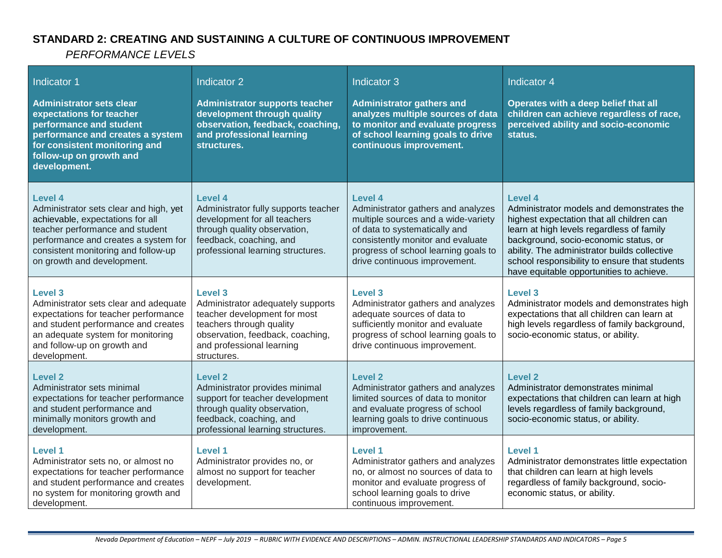## **STANDARD 2: CREATING AND SUSTAINING A CULTURE OF CONTINUOUS IMPROVEMENT**

| Indicator 1<br><b>Administrator sets clear</b><br>expectations for teacher<br>performance and student<br>performance and creates a system<br>for consistent monitoring and<br>follow-up on growth and<br>development.                 | Indicator 2<br><b>Administrator supports teacher</b><br>development through quality<br>observation, feedback, coaching,<br>and professional learning<br>structures.                             | Indicator 3<br><b>Administrator gathers and</b><br>analyzes multiple sources of data<br>to monitor and evaluate progress<br>of school learning goals to drive<br>continuous improvement.                                            | Indicator 4<br>Operates with a deep belief that all<br>children can achieve regardless of race,<br>perceived ability and socio-economic<br>status.                                                                                                                                                                                          |
|---------------------------------------------------------------------------------------------------------------------------------------------------------------------------------------------------------------------------------------|-------------------------------------------------------------------------------------------------------------------------------------------------------------------------------------------------|-------------------------------------------------------------------------------------------------------------------------------------------------------------------------------------------------------------------------------------|---------------------------------------------------------------------------------------------------------------------------------------------------------------------------------------------------------------------------------------------------------------------------------------------------------------------------------------------|
| Level 4<br>Administrator sets clear and high, yet<br>achievable, expectations for all<br>teacher performance and student<br>performance and creates a system for<br>consistent monitoring and follow-up<br>on growth and development. | Level 4<br>Administrator fully supports teacher<br>development for all teachers<br>through quality observation,<br>feedback, coaching, and<br>professional learning structures.                 | Level 4<br>Administrator gathers and analyzes<br>multiple sources and a wide-variety<br>of data to systematically and<br>consistently monitor and evaluate<br>progress of school learning goals to<br>drive continuous improvement. | <b>Level 4</b><br>Administrator models and demonstrates the<br>highest expectation that all children can<br>learn at high levels regardless of family<br>background, socio-economic status, or<br>ability. The administrator builds collective<br>school responsibility to ensure that students<br>have equitable opportunities to achieve. |
| <b>Level 3</b><br>Administrator sets clear and adequate<br>expectations for teacher performance<br>and student performance and creates<br>an adequate system for monitoring<br>and follow-up on growth and<br>development.            | <b>Level 3</b><br>Administrator adequately supports<br>teacher development for most<br>teachers through quality<br>observation, feedback, coaching,<br>and professional learning<br>structures. | Level <sub>3</sub><br>Administrator gathers and analyzes<br>adequate sources of data to<br>sufficiently monitor and evaluate<br>progress of school learning goals to<br>drive continuous improvement.                               | Level <sub>3</sub><br>Administrator models and demonstrates high<br>expectations that all children can learn at<br>high levels regardless of family background,<br>socio-economic status, or ability.                                                                                                                                       |
| <b>Level 2</b><br>Administrator sets minimal<br>expectations for teacher performance<br>and student performance and<br>minimally monitors growth and<br>development.                                                                  | <b>Level 2</b><br>Administrator provides minimal<br>support for teacher development<br>through quality observation,<br>feedback, coaching, and<br>professional learning structures.             | <b>Level 2</b><br>Administrator gathers and analyzes<br>limited sources of data to monitor<br>and evaluate progress of school<br>learning goals to drive continuous<br>improvement.                                                 | <b>Level 2</b><br>Administrator demonstrates minimal<br>expectations that children can learn at high<br>levels regardless of family background,<br>socio-economic status, or ability.                                                                                                                                                       |
| <b>Level 1</b><br>Administrator sets no, or almost no<br>expectations for teacher performance<br>and student performance and creates<br>no system for monitoring growth and<br>development.                                           | Level 1<br>Administrator provides no, or<br>almost no support for teacher<br>development.                                                                                                       | Level 1<br>Administrator gathers and analyzes<br>no, or almost no sources of data to<br>monitor and evaluate progress of<br>school learning goals to drive<br>continuous improvement.                                               | <b>Level 1</b><br>Administrator demonstrates little expectation<br>that children can learn at high levels<br>regardless of family background, socio-<br>economic status, or ability.                                                                                                                                                        |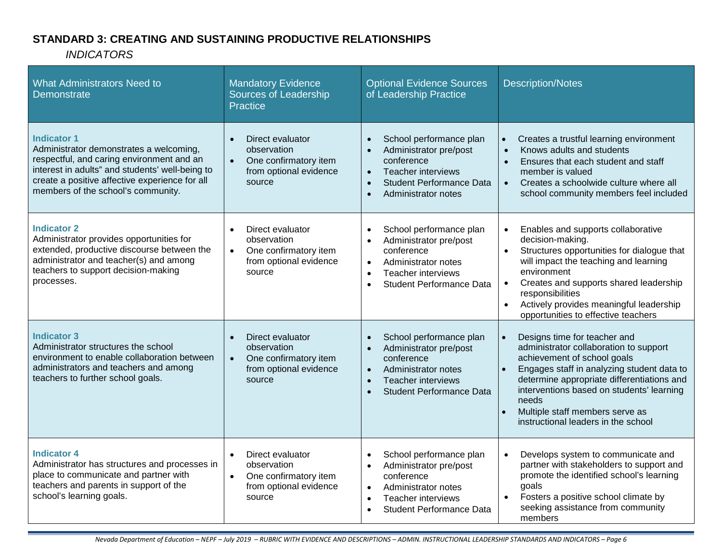## **STANDARD 3: CREATING AND SUSTAINING PRODUCTIVE RELATIONSHIPS**

| <b>What Administrators Need to</b><br>Demonstrate                                                                                                                                                                                                     | <b>Mandatory Evidence</b><br>Sources of Leadership<br><b>Practice</b>                                                  | <b>Optional Evidence Sources</b><br>of Leadership Practice                                                                                                                                                              | <b>Description/Notes</b>                                                                                                                                                                                                                                                                                                                            |
|-------------------------------------------------------------------------------------------------------------------------------------------------------------------------------------------------------------------------------------------------------|------------------------------------------------------------------------------------------------------------------------|-------------------------------------------------------------------------------------------------------------------------------------------------------------------------------------------------------------------------|-----------------------------------------------------------------------------------------------------------------------------------------------------------------------------------------------------------------------------------------------------------------------------------------------------------------------------------------------------|
| <b>Indicator 1</b><br>Administrator demonstrates a welcoming,<br>respectful, and caring environment and an<br>interest in adults" and students' well-being to<br>create a positive affective experience for all<br>members of the school's community. | Direct evaluator<br>observation<br>One confirmatory item<br>$\bullet$<br>from optional evidence<br>source              | School performance plan<br>$\bullet$<br>Administrator pre/post<br>$\bullet$<br>conference<br>Teacher interviews<br>$\bullet$<br><b>Student Performance Data</b><br>$\bullet$<br>Administrator notes<br>$\bullet$        | Creates a trustful learning environment<br>$\bullet$<br>Knows adults and students<br>$\bullet$<br>Ensures that each student and staff<br>$\bullet$<br>member is valued<br>Creates a schoolwide culture where all<br>$\bullet$<br>school community members feel included                                                                             |
| <b>Indicator 2</b><br>Administrator provides opportunities for<br>extended, productive discourse between the<br>administrator and teacher(s) and among<br>teachers to support decision-making<br>processes.                                           | Direct evaluator<br>$\bullet$<br>observation<br>One confirmatory item<br>$\bullet$<br>from optional evidence<br>source | School performance plan<br>$\bullet$<br>Administrator pre/post<br>$\bullet$<br>conference<br>Administrator notes<br>$\bullet$<br><b>Teacher interviews</b><br>$\bullet$<br><b>Student Performance Data</b><br>$\bullet$ | Enables and supports collaborative<br>$\bullet$<br>decision-making.<br>Structures opportunities for dialogue that<br>will impact the teaching and learning<br>environment<br>Creates and supports shared leadership<br>$\bullet$<br>responsibilities<br>Actively provides meaningful leadership<br>$\bullet$<br>opportunities to effective teachers |
| <b>Indicator 3</b><br>Administrator structures the school<br>environment to enable collaboration between<br>administrators and teachers and among<br>teachers to further school goals.                                                                | Direct evaluator<br>$\bullet$<br>observation<br>One confirmatory item<br>$\bullet$<br>from optional evidence<br>source | School performance plan<br>$\bullet$<br>Administrator pre/post<br>conference<br>Administrator notes<br>$\bullet$<br><b>Teacher interviews</b><br>$\bullet$<br><b>Student Performance Data</b><br>$\bullet$              | Designs time for teacher and<br>$\bullet$<br>administrator collaboration to support<br>achievement of school goals<br>Engages staff in analyzing student data to<br>determine appropriate differentiations and<br>interventions based on students' learning<br>needs<br>Multiple staff members serve as<br>instructional leaders in the school      |
| <b>Indicator 4</b><br>Administrator has structures and processes in<br>place to communicate and partner with<br>teachers and parents in support of the<br>school's learning goals.                                                                    | Direct evaluator<br>$\bullet$<br>observation<br>One confirmatory item<br>$\bullet$<br>from optional evidence<br>source | School performance plan<br>$\bullet$<br>Administrator pre/post<br>$\bullet$<br>conference<br>Administrator notes<br>$\bullet$<br>Teacher interviews<br>$\bullet$<br><b>Student Performance Data</b><br>$\bullet$        | Develops system to communicate and<br>$\bullet$<br>partner with stakeholders to support and<br>promote the identified school's learning<br>goals<br>Fosters a positive school climate by<br>$\bullet$<br>seeking assistance from community<br>members                                                                                               |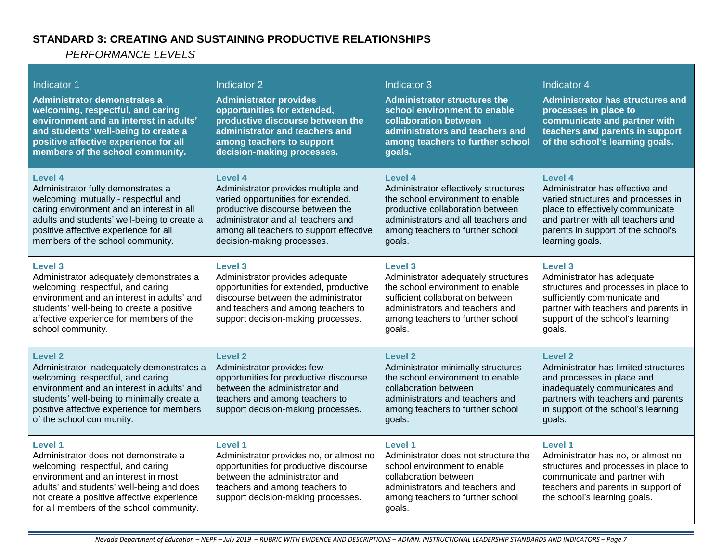## **STANDARD 3: CREATING AND SUSTAINING PRODUCTIVE RELATIONSHIPS**

| Indicator 1<br>Administrator demonstrates a<br>welcoming, respectful, and caring<br>environment and an interest in adults'<br>and students' well-being to create a<br>positive affective experience for all<br>members of the school community.                           | <b>Indicator 2</b><br><b>Administrator provides</b><br>opportunities for extended,<br>productive discourse between the<br>administrator and teachers and<br>among teachers to support<br>decision-making processes.                     | Indicator 3<br><b>Administrator structures the</b><br>school environment to enable<br>collaboration between<br>administrators and teachers and<br>among teachers to further school<br>goals.                 | Indicator 4<br><b>Administrator has structures and</b><br>processes in place to<br>communicate and partner with<br>teachers and parents in support<br>of the school's learning goals.                              |
|---------------------------------------------------------------------------------------------------------------------------------------------------------------------------------------------------------------------------------------------------------------------------|-----------------------------------------------------------------------------------------------------------------------------------------------------------------------------------------------------------------------------------------|--------------------------------------------------------------------------------------------------------------------------------------------------------------------------------------------------------------|--------------------------------------------------------------------------------------------------------------------------------------------------------------------------------------------------------------------|
| Level 4<br>Administrator fully demonstrates a<br>welcoming, mutually - respectful and<br>caring environment and an interest in all<br>adults and students' well-being to create a<br>positive affective experience for all<br>members of the school community.            | Level 4<br>Administrator provides multiple and<br>varied opportunities for extended,<br>productive discourse between the<br>administrator and all teachers and<br>among all teachers to support effective<br>decision-making processes. | Level 4<br>Administrator effectively structures<br>the school environment to enable<br>productive collaboration between<br>administrators and all teachers and<br>among teachers to further school<br>goals. | Level 4<br>Administrator has effective and<br>varied structures and processes in<br>place to effectively communicate<br>and partner with all teachers and<br>parents in support of the school's<br>learning goals. |
| Level 3<br>Administrator adequately demonstrates a<br>welcoming, respectful, and caring<br>environment and an interest in adults' and<br>students' well-being to create a positive<br>affective experience for members of the<br>school community.                        | <b>Level 3</b><br>Administrator provides adequate<br>opportunities for extended, productive<br>discourse between the administrator<br>and teachers and among teachers to<br>support decision-making processes.                          | Level 3<br>Administrator adequately structures<br>the school environment to enable<br>sufficient collaboration between<br>administrators and teachers and<br>among teachers to further school<br>goals.      | <b>Level 3</b><br>Administrator has adequate<br>structures and processes in place to<br>sufficiently communicate and<br>partner with teachers and parents in<br>support of the school's learning<br>goals.         |
| <b>Level 2</b><br>Administrator inadequately demonstrates a<br>welcoming, respectful, and caring<br>environment and an interest in adults' and<br>students' well-being to minimally create a<br>positive affective experience for members<br>of the school community.     | <b>Level 2</b><br>Administrator provides few<br>opportunities for productive discourse<br>between the administrator and<br>teachers and among teachers to<br>support decision-making processes.                                         | Level 2<br>Administrator minimally structures<br>the school environment to enable<br>collaboration between<br>administrators and teachers and<br>among teachers to further school<br>goals.                  | <b>Level 2</b><br>Administrator has limited structures<br>and processes in place and<br>inadequately communicates and<br>partners with teachers and parents<br>in support of the school's learning<br>goals.       |
| <b>Level 1</b><br>Administrator does not demonstrate a<br>welcoming, respectful, and caring<br>environment and an interest in most<br>adults' and students' well-being and does<br>not create a positive affective experience<br>for all members of the school community. | <b>Level 1</b><br>Administrator provides no, or almost no<br>opportunities for productive discourse<br>between the administrator and<br>teachers and among teachers to<br>support decision-making processes.                            | Level 1<br>Administrator does not structure the<br>school environment to enable<br>collaboration between<br>administrators and teachers and<br>among teachers to further school<br>goals.                    | Level 1<br>Administrator has no, or almost no<br>structures and processes in place to<br>communicate and partner with<br>teachers and parents in support of<br>the school's learning goals.                        |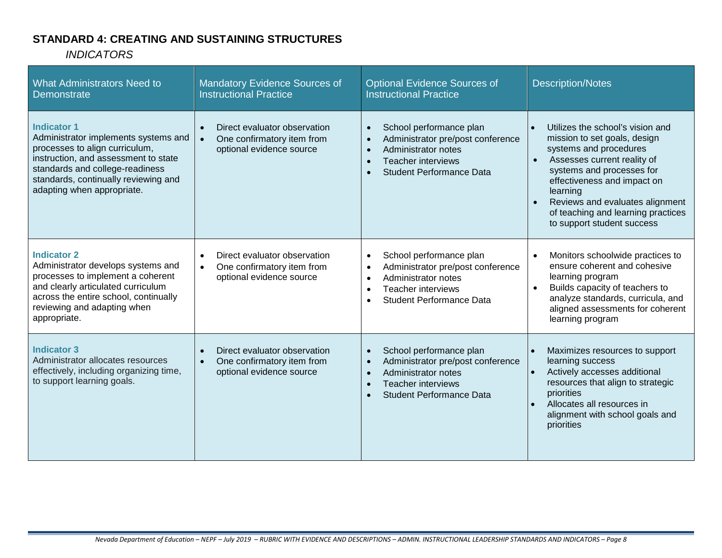## **STANDARD 4: CREATING AND SUSTAINING STRUCTURES**

| <b>What Administrators Need to</b><br><b>Demonstrate</b>                                                                                                                                                                                      | Mandatory Evidence Sources of<br><b>Instructional Practice</b>                                                   | <b>Optional Evidence Sources of</b><br><b>Instructional Practice</b>                                                                                                                             | <b>Description/Notes</b>                                                                                                                                                                                                                                                                                                                        |
|-----------------------------------------------------------------------------------------------------------------------------------------------------------------------------------------------------------------------------------------------|------------------------------------------------------------------------------------------------------------------|--------------------------------------------------------------------------------------------------------------------------------------------------------------------------------------------------|-------------------------------------------------------------------------------------------------------------------------------------------------------------------------------------------------------------------------------------------------------------------------------------------------------------------------------------------------|
| <b>Indicator 1</b><br>Administrator implements systems and<br>processes to align curriculum,<br>instruction, and assessment to state<br>standards and college-readiness<br>standards, continually reviewing and<br>adapting when appropriate. | Direct evaluator observation<br>$\bullet$<br>One confirmatory item from<br>$\bullet$<br>optional evidence source | School performance plan<br>$\bullet$<br>Administrator pre/post conference<br>Administrator notes<br>$\bullet$<br><b>Teacher interviews</b><br>$\bullet$<br><b>Student Performance Data</b>       | Utilizes the school's vision and<br>$\bullet$<br>mission to set goals, design<br>systems and procedures<br>Assesses current reality of<br>$\bullet$<br>systems and processes for<br>effectiveness and impact on<br>learning<br>Reviews and evaluates alignment<br>$\bullet$<br>of teaching and learning practices<br>to support student success |
| <b>Indicator 2</b><br>Administrator develops systems and<br>processes to implement a coherent<br>and clearly articulated curriculum<br>across the entire school, continually<br>reviewing and adapting when<br>appropriate.                   | Direct evaluator observation<br>$\bullet$<br>One confirmatory item from<br>$\bullet$<br>optional evidence source | School performance plan<br>$\bullet$<br>Administrator pre/post conference<br>$\bullet$<br>Administrator notes<br>$\bullet$<br>Teacher interviews<br>$\bullet$<br><b>Student Performance Data</b> | Monitors schoolwide practices to<br>$\bullet$<br>ensure coherent and cohesive<br>learning program<br>Builds capacity of teachers to<br>$\bullet$<br>analyze standards, curricula, and<br>aligned assessments for coherent<br>learning program                                                                                                   |
| <b>Indicator 3</b><br>Administrator allocates resources<br>effectively, including organizing time,<br>to support learning goals.                                                                                                              | Direct evaluator observation<br>$\bullet$<br>One confirmatory item from<br>$\bullet$<br>optional evidence source | School performance plan<br>$\bullet$<br>Administrator pre/post conference<br>$\bullet$<br>Administrator notes<br>$\bullet$<br>Teacher interviews<br>$\bullet$<br><b>Student Performance Data</b> | Maximizes resources to support<br>$\bullet$<br>learning success<br>Actively accesses additional<br>resources that align to strategic<br>priorities<br>Allocates all resources in<br>$\bullet$<br>alignment with school goals and<br>priorities                                                                                                  |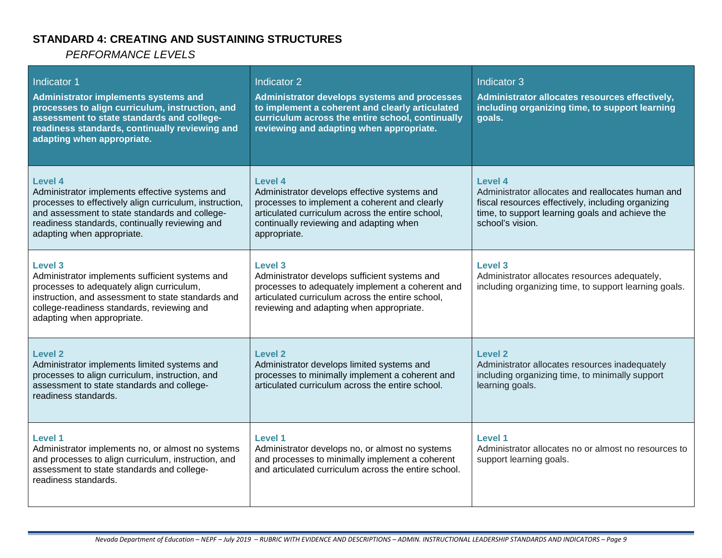#### **STANDARD 4: CREATING AND SUSTAINING STRUCTURES**

| Indicator 1<br>Administrator implements systems and<br>processes to align curriculum, instruction, and<br>assessment to state standards and college-<br>readiness standards, continually reviewing and<br>adapting when appropriate.                   | Indicator 2<br>Administrator develops systems and processes<br>to implement a coherent and clearly articulated<br>curriculum across the entire school, continually<br>reviewing and adapting when appropriate.          | Indicator 3<br>Administrator allocates resources effectively,<br>including organizing time, to support learning<br>qoals.                                                                 |
|--------------------------------------------------------------------------------------------------------------------------------------------------------------------------------------------------------------------------------------------------------|-------------------------------------------------------------------------------------------------------------------------------------------------------------------------------------------------------------------------|-------------------------------------------------------------------------------------------------------------------------------------------------------------------------------------------|
| Level 4<br>Administrator implements effective systems and<br>processes to effectively align curriculum, instruction,<br>and assessment to state standards and college-<br>readiness standards, continually reviewing and<br>adapting when appropriate. | Level 4<br>Administrator develops effective systems and<br>processes to implement a coherent and clearly<br>articulated curriculum across the entire school,<br>continually reviewing and adapting when<br>appropriate. | Level 4<br>Administrator allocates and reallocates human and<br>fiscal resources effectively, including organizing<br>time, to support learning goals and achieve the<br>school's vision. |
| Level 3<br>Administrator implements sufficient systems and<br>processes to adequately align curriculum,<br>instruction, and assessment to state standards and<br>college-readiness standards, reviewing and<br>adapting when appropriate.              | Level 3<br>Administrator develops sufficient systems and<br>processes to adequately implement a coherent and<br>articulated curriculum across the entire school,<br>reviewing and adapting when appropriate.            | Level 3<br>Administrator allocates resources adequately,<br>including organizing time, to support learning goals.                                                                         |
| <b>Level 2</b><br>Administrator implements limited systems and<br>processes to align curriculum, instruction, and<br>assessment to state standards and college-<br>readiness standards.                                                                | Level 2<br>Administrator develops limited systems and<br>processes to minimally implement a coherent and<br>articulated curriculum across the entire school.                                                            | Level 2<br>Administrator allocates resources inadequately<br>including organizing time, to minimally support<br>learning goals.                                                           |
| <b>Level 1</b><br>Administrator implements no, or almost no systems<br>and processes to align curriculum, instruction, and<br>assessment to state standards and college-<br>readiness standards.                                                       | Level 1<br>Administrator develops no, or almost no systems<br>and processes to minimally implement a coherent<br>and articulated curriculum across the entire school.                                                   | Level 1<br>Administrator allocates no or almost no resources to<br>support learning goals.                                                                                                |